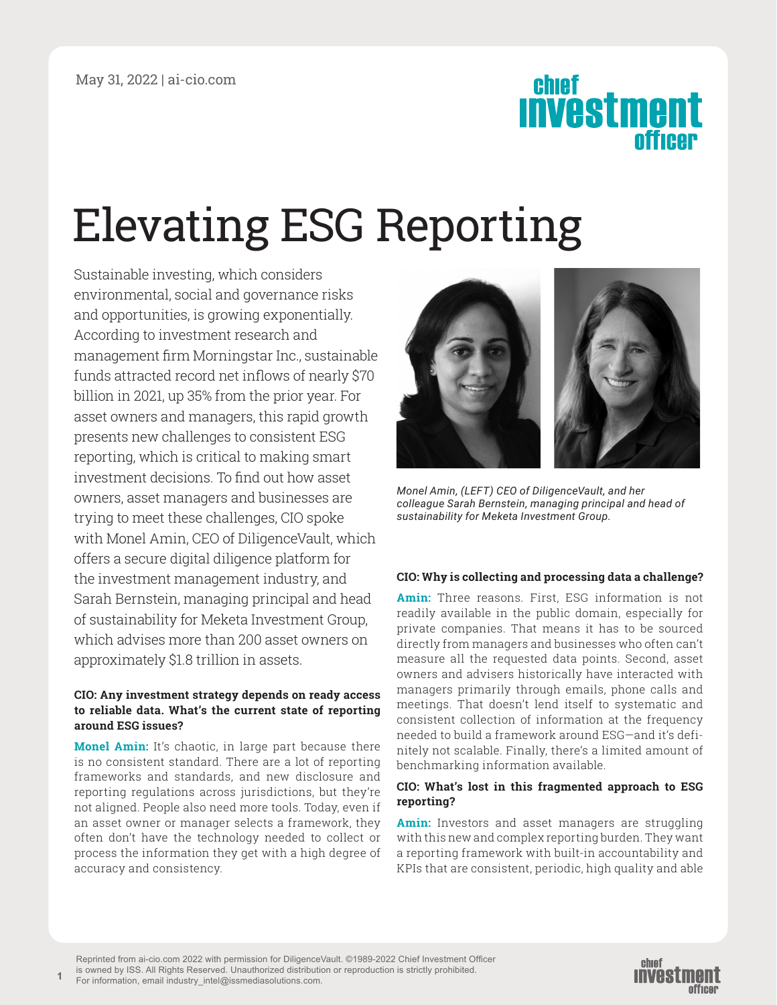# chief<br>**INVESTMENT**

## Elevating ESG Reporting

Sustainable investing, which considers environmental, social and governance risks and opportunities, is growing exponentially. According to investment research and management firm Morningstar Inc., sustainable funds attracted record net inflows of nearly \$70 billion in 2021, up 35% from the prior year. For asset owners and managers, this rapid growth presents new challenges to consistent ESG reporting, which is critical to making smart investment decisions. To find out how asset owners, asset managers and businesses are trying to meet these challenges, CIO spoke with Monel Amin, CEO of DiligenceVault, which offers a secure digital diligence platform for the investment management industry, and Sarah Bernstein, managing principal and head of sustainability for Meketa Investment Group, which advises more than 200 asset owners on approximately \$1.8 trillion in assets.

#### **CIO: Any investment strategy depends on ready access to reliable data. What's the current state of reporting around ESG issues?**

**Monel Amin:** It's chaotic, in large part because there is no consistent standard. There are a lot of reporting frameworks and standards, and new disclosure and reporting regulations across jurisdictions, but they're not aligned. People also need more tools. Today, even if an asset owner or manager selects a framework, they often don't have the technology needed to collect or process the information they get with a high degree of accuracy and consistency.

**1**



*Monel Amin, (LEFT) CEO of DiligenceVault, and her colleague Sarah Bernstein, managing principal and head of sustainability for Meketa Investment Group.*

#### **CIO: Why is collecting and processing data a challenge?**

**Amin:** Three reasons. First, ESG information is not readily available in the public domain, especially for private companies. That means it has to be sourced directly from managers and businesses who often can't measure all the requested data points. Second, asset owners and advisers historically have interacted with managers primarily through emails, phone calls and meetings. That doesn't lend itself to systematic and consistent collection of information at the frequency needed to build a framework around ESG—and it's definitely not scalable. Finally, there's a limited amount of benchmarking information available.

#### **CIO: What's lost in this fragmented approach to ESG reporting?**

**Amin:** Investors and asset managers are struggling with this new and complex reporting burden. They want a reporting framework with built-in accountability and KPIs that are consistent, periodic, high quality and able

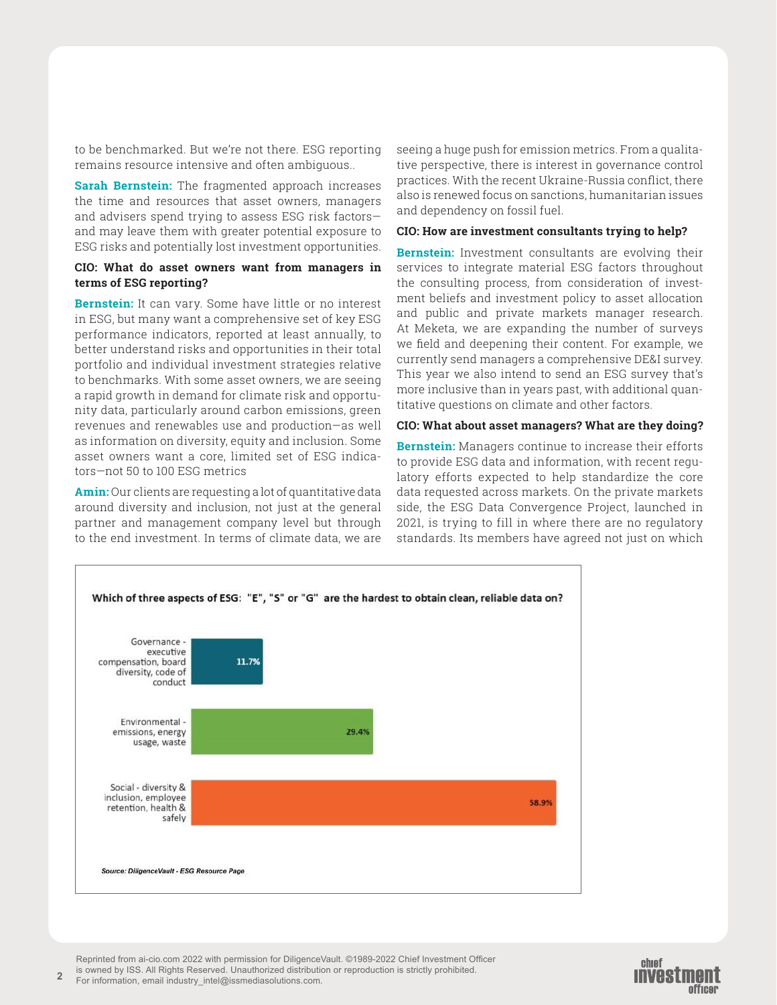to be benchmarked. But we're not there. ESG reporting remains resource intensive and often ambiguous..

**Sarah Bernstein:** The fragmented approach increases the time and resources that asset owners, managers and advisers spend trying to assess ESG risk factors and may leave them with greater potential exposure to ESG risks and potentially lost investment opportunities.

#### **CIO: What do asset owners want from managers in terms of ESG reporting?**

**Bernstein:** It can vary. Some have little or no interest in ESG, but many want a comprehensive set of key ESG performance indicators, reported at least annually, to better understand risks and opportunities in their total portfolio and individual investment strategies relative to benchmarks. With some asset owners, we are seeing a rapid growth in demand for climate risk and opportunity data, particularly around carbon emissions, green revenues and renewables use and production—as well as information on diversity, equity and inclusion. Some asset owners want a core, limited set of ESG indicators—not 50 to 100 ESG metrics

**Amin:** Our clients are requesting a lot of quantitative data around diversity and inclusion, not just at the general partner and management company level but through to the end investment. In terms of climate data, we are

seeing a huge push for emission metrics. From a qualitative perspective, there is interest in governance control practices. With the recent Ukraine-Russia conflict, there also is renewed focus on sanctions, humanitarian issues and dependency on fossil fuel.

#### **CIO: How are investment consultants trying to help?**

**Bernstein:** Investment consultants are evolving their services to integrate material ESG factors throughout the consulting process, from consideration of investment beliefs and investment policy to asset allocation and public and private markets manager research. At Meketa, we are expanding the number of surveys we field and deepening their content. For example, we currently send managers a comprehensive DE&I survey. This year we also intend to send an ESG survey that's more inclusive than in years past, with additional quantitative questions on climate and other factors.

#### **CIO: What about asset managers? What are they doing?**

**Bernstein:** Managers continue to increase their efforts to provide ESG data and information, with recent regulatory efforts expected to help standardize the core data requested across markets. On the private markets side, the ESG Data Convergence Project, launched in 2021, is trying to fill in where there are no regulatory standards. Its members have agreed not just on which



**2**